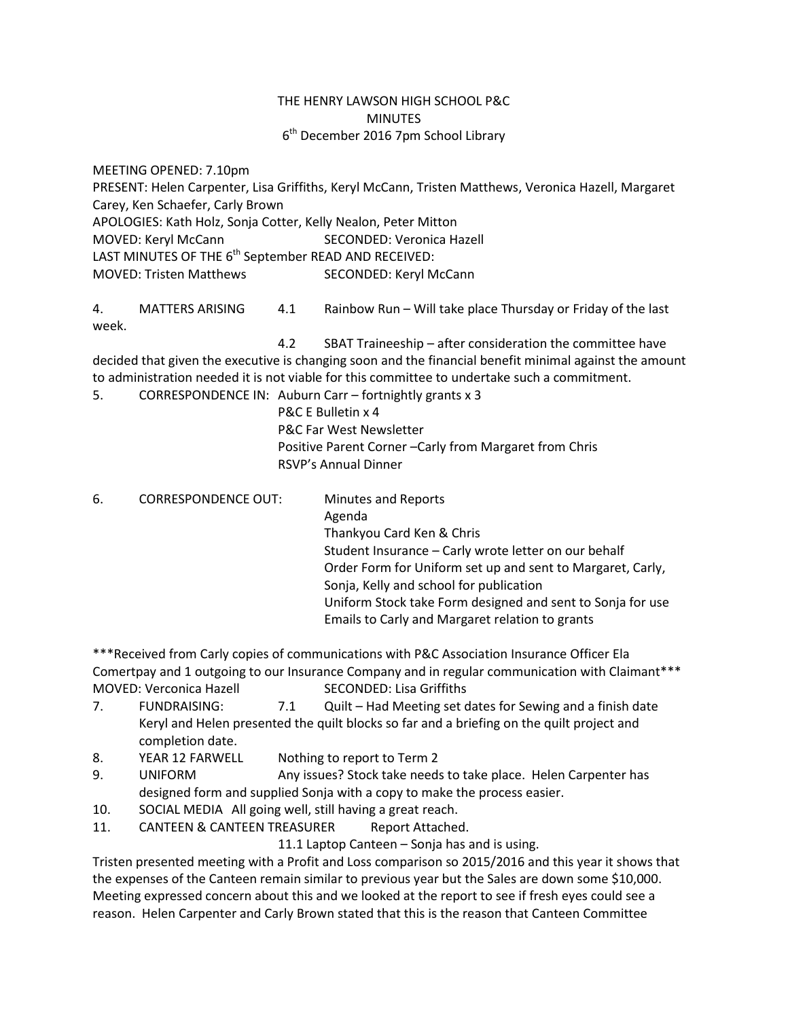## THE HENRY LAWSON HIGH SCHOOL P&C MINUTES 6<sup>th</sup> December 2016 7pm School Library

MEETING OPENED: 7.10pm PRESENT: Helen Carpenter, Lisa Griffiths, Keryl McCann, Tristen Matthews, Veronica Hazell, Margaret Carey, Ken Schaefer, Carly Brown APOLOGIES: Kath Holz, Sonja Cotter, Kelly Nealon, Peter Mitton MOVED: Keryl McCann SECONDED: Veronica Hazell LAST MINUTES OF THE 6<sup>th</sup> September READ AND RECEIVED:

MOVED: Tristen Matthews SECONDED: Keryl McCann

4. MATTERS ARISING 4.1 Rainbow Run – Will take place Thursday or Friday of the last week.

4.2 SBAT Traineeship – after consideration the committee have decided that given the executive is changing soon and the financial benefit minimal against the amount to administration needed it is not viable for this committee to undertake such a commitment.

5. CORRESPONDENCE IN: Auburn Carr – fortnightly grants x 3

P&C E Bulletin x 4 P&C Far West Newsletter Positive Parent Corner –Carly from Margaret from Chris RSVP's Annual Dinner

6. CORRESPONDENCE OUT: Minutes and Reports Agenda Thankyou Card Ken & Chris Student Insurance – Carly wrote letter on our behalf Order Form for Uniform set up and sent to Margaret, Carly, Sonja, Kelly and school for publication Uniform Stock take Form designed and sent to Sonja for use Emails to Carly and Margaret relation to grants

\*\*\*Received from Carly copies of communications with P&C Association Insurance Officer Ela Comertpay and 1 outgoing to our Insurance Company and in regular communication with Claimant\*\*\* MOVED: Verconica Hazell SECONDED: Lisa Griffiths

- 7. FUNDRAISING: 7.1 Quilt Had Meeting set dates for Sewing and a finish date Keryl and Helen presented the quilt blocks so far and a briefing on the quilt project and completion date.
- 8. YEAR 12 FARWELL Nothing to report to Term 2
- 9. UNIFORM Any issues? Stock take needs to take place. Helen Carpenter has designed form and supplied Sonja with a copy to make the process easier.
- 10. SOCIAL MEDIA All going well, still having a great reach.
- 11. CANTEEN & CANTEEN TREASURER Report Attached.

11.1 Laptop Canteen – Sonja has and is using.

Tristen presented meeting with a Profit and Loss comparison so 2015/2016 and this year it shows that the expenses of the Canteen remain similar to previous year but the Sales are down some \$10,000. Meeting expressed concern about this and we looked at the report to see if fresh eyes could see a reason. Helen Carpenter and Carly Brown stated that this is the reason that Canteen Committee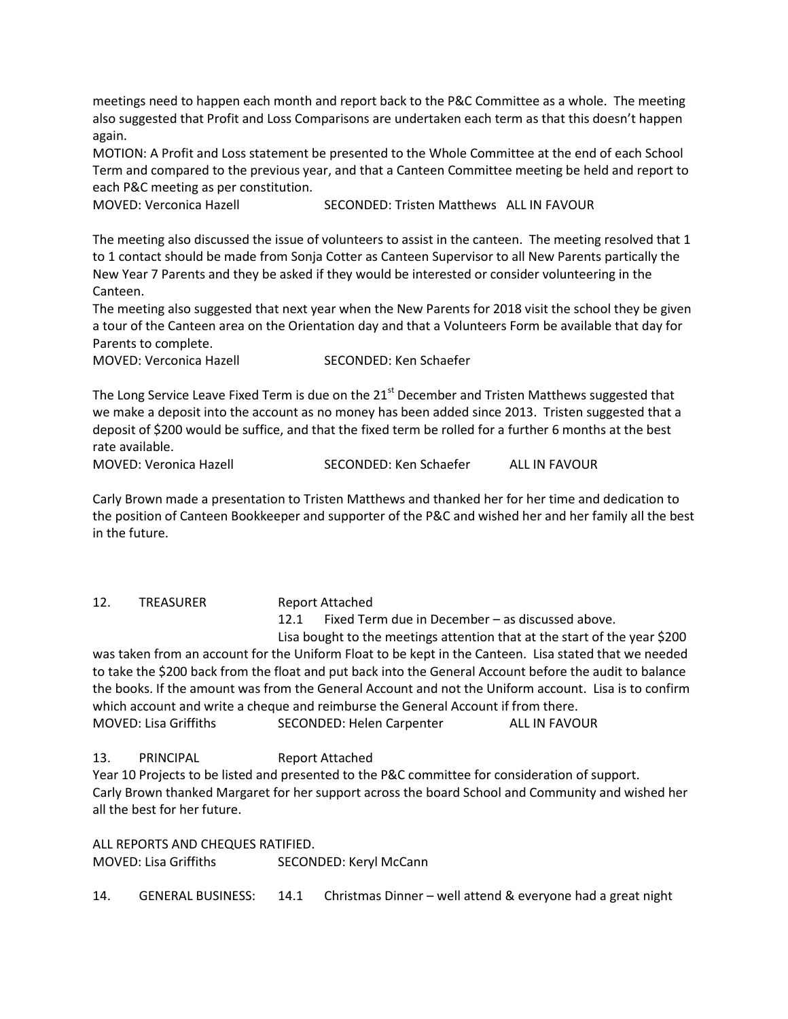meetings need to happen each month and report back to the P&C Committee as a whole. The meeting also suggested that Profit and Loss Comparisons are undertaken each term as that this doesn't happen again.

MOTION: A Profit and Loss statement be presented to the Whole Committee at the end of each School Term and compared to the previous year, and that a Canteen Committee meeting be held and report to each P&C meeting as per constitution.

MOVED: Verconica Hazell SECONDED: Tristen Matthews ALL IN FAVOUR

The meeting also discussed the issue of volunteers to assist in the canteen. The meeting resolved that 1 to 1 contact should be made from Sonja Cotter as Canteen Supervisor to all New Parents partically the New Year 7 Parents and they be asked if they would be interested or consider volunteering in the Canteen.

The meeting also suggested that next year when the New Parents for 2018 visit the school they be given a tour of the Canteen area on the Orientation day and that a Volunteers Form be available that day for Parents to complete.

| <b>MOVED: Verconica Hazell</b> | SECONDED: Ken Schaefer |
|--------------------------------|------------------------|
|                                |                        |

The Long Service Leave Fixed Term is due on the 21<sup>st</sup> December and Tristen Matthews suggested that we make a deposit into the account as no money has been added since 2013. Tristen suggested that a deposit of \$200 would be suffice, and that the fixed term be rolled for a further 6 months at the best rate available.

MOVED: Veronica Hazell SECONDED: Ken Schaefer ALL IN FAVOUR

Carly Brown made a presentation to Tristen Matthews and thanked her for her time and dedication to the position of Canteen Bookkeeper and supporter of the P&C and wished her and her family all the best in the future.

12. TREASURER Report Attached

12.1 Fixed Term due in December – as discussed above.

Lisa bought to the meetings attention that at the start of the year \$200 was taken from an account for the Uniform Float to be kept in the Canteen. Lisa stated that we needed to take the \$200 back from the float and put back into the General Account before the audit to balance the books. If the amount was from the General Account and not the Uniform account. Lisa is to confirm which account and write a cheque and reimburse the General Account if from there. MOVED: Lisa Griffiths SECONDED: Helen Carpenter ALL IN FAVOUR

13. PRINCIPAL Report Attached

Year 10 Projects to be listed and presented to the P&C committee for consideration of support. Carly Brown thanked Margaret for her support across the board School and Community and wished her all the best for her future.

ALL REPORTS AND CHEQUES RATIFIED.

MOVED: Lisa Griffiths SECONDED: Keryl McCann

14. GENERAL BUSINESS: 14.1 Christmas Dinner – well attend & everyone had a great night